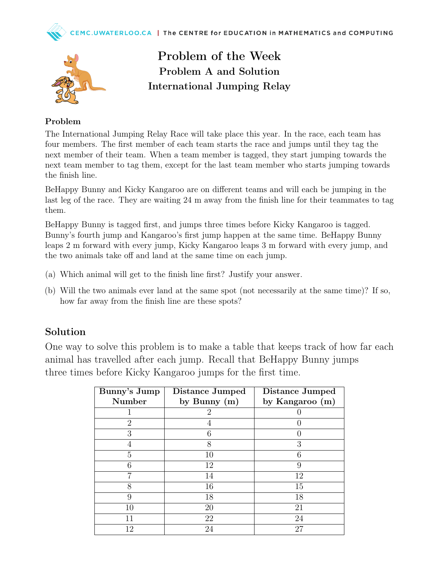



Problem of the Week Problem A and Solution International Jumping Relay

## Problem

The International Jumping Relay Race will take place this year. In the race, each team has four members. The first member of each team starts the race and jumps until they tag the next member of their team. When a team member is tagged, they start jumping towards the next team member to tag them, except for the last team member who starts jumping towards the finish line.

BeHappy Bunny and Kicky Kangaroo are on different teams and will each be jumping in the last leg of the race. They are waiting 24 m away from the finish line for their teammates to tag them.

BeHappy Bunny is tagged first, and jumps three times before Kicky Kangaroo is tagged. Bunny's fourth jump and Kangaroo's first jump happen at the same time. BeHappy Bunny leaps 2 m forward with every jump, Kicky Kangaroo leaps 3 m forward with every jump, and the two animals take off and land at the same time on each jump.

- (a) Which animal will get to the finish line first? Justify your answer.
- (b) Will the two animals ever land at the same spot (not necessarily at the same time)? If so, how far away from the finish line are these spots?

## Solution

One way to solve this problem is to make a table that keeps track of how far each animal has travelled after each jump. Recall that BeHappy Bunny jumps three times before Kicky Kangaroo jumps for the first time.

| Bunny's Jump                | Distance Jumped | Distance Jumped |
|-----------------------------|-----------------|-----------------|
| <b>Number</b>               | by Bunny $(m)$  | by Kangaroo (m) |
|                             | $\overline{2}$  |                 |
| $\mathcal{D}_{\mathcal{A}}$ | 4               |                 |
| 3                           | 6               |                 |
| 4                           | 8               | 3               |
| 5                           | 10              |                 |
| 6                           | 12              | 9               |
|                             | 14              | 12              |
| 8                           | 16              | 15              |
| 9                           | 18              | 18              |
| 10                          | 20              | 21              |
| 11                          | 22              | 24              |
| 12                          | 24              | 27              |